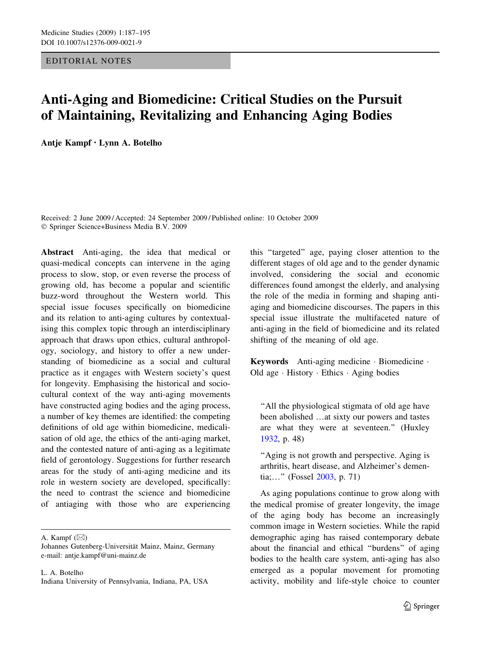## EDITORIAL NOTES

## Anti-Aging and Biomedicine: Critical Studies on the Pursuit of Maintaining, Revitalizing and Enhancing Aging Bodies

Antje Kampf *•* Lynn A. Botelho

Received: 2 June 2009 / Accepted: 24 September 2009 / Published online: 10 October 2009 Springer Science+Business Media B.V. 2009

Abstract Anti-aging, the idea that medical or quasi-medical concepts can intervene in the aging process to slow, stop, or even reverse the process of growing old, has become a popular and scientific buzz-word throughout the Western world. This special issue focuses specifically on biomedicine and its relation to anti-aging cultures by contextualising this complex topic through an interdisciplinary approach that draws upon ethics, cultural anthropology, sociology, and history to offer a new understanding of biomedicine as a social and cultural practice as it engages with Western society's quest for longevity. Emphasising the historical and sociocultural context of the way anti-aging movements have constructed aging bodies and the aging process, a number of key themes are identified: the competing definitions of old age within biomedicine, medicalisation of old age, the ethics of the anti-aging market, and the contested nature of anti-aging as a legitimate field of gerontology. Suggestions for further research areas for the study of anti-aging medicine and its role in western society are developed, specifically: the need to contrast the science and biomedicine of antiaging with those who are experiencing

A. Kampf  $(\boxtimes)$ 

L. A. Botelho

Indiana University of Pennsylvania, Indiana, PA, USA

this ''targeted'' age, paying closer attention to the different stages of old age and to the gender dynamic involved, considering the social and economic differences found amongst the elderly, and analysing the role of the media in forming and shaping antiaging and biomedicine discourses. The papers in this special issue illustrate the multifaceted nature of anti-aging in the field of biomedicine and its related shifting of the meaning of old age.

Keywords Anti-aging medicine  $\cdot$  Biomedicine  $\cdot$ Old age · History · Ethics · Aging bodies

''All the physiological stigmata of old age have been abolished …at sixty our powers and tastes are what they were at seventeen.'' (Huxley [1932](#page-8-0), p. 48)

''Aging is not growth and perspective. Aging is arthritis, heart disease, and Alzheimer's dementia;…'' (Fossel [2003](#page-7-0), p. 71)

As aging populations continue to grow along with the medical promise of greater longevity, the image of the aging body has become an increasingly common image in Western societies. While the rapid demographic aging has raised contemporary debate about the financial and ethical ''burdens'' of aging bodies to the health care system, anti-aging has also emerged as a popular movement for promoting activity, mobility and life-style choice to counter

Johannes Gutenberg-Universität Mainz, Mainz, Germany e-mail: antje.kampf@uni-mainz.de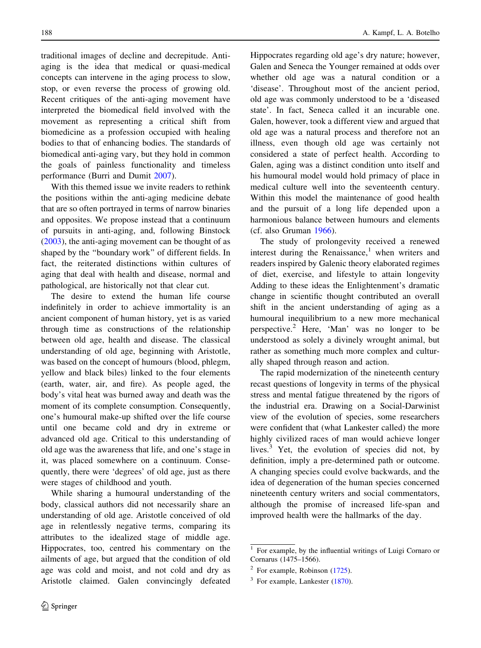traditional images of decline and decrepitude. Antiaging is the idea that medical or quasi-medical concepts can intervene in the aging process to slow, stop, or even reverse the process of growing old. Recent critiques of the anti-aging movement have interpreted the biomedical field involved with the movement as representing a critical shift from biomedicine as a profession occupied with healing bodies to that of enhancing bodies. The standards of biomedical anti-aging vary, but they hold in common the goals of painless functionality and timeless performance (Burri and Dumit [2007](#page-7-0)).

With this themed issue we invite readers to rethink the positions within the anti-aging medicine debate that are so often portrayed in terms of narrow binaries and opposites. We propose instead that a continuum of pursuits in anti-aging, and, following Binstock [\(2003](#page-7-0)), the anti-aging movement can be thought of as shaped by the ''boundary work'' of different fields. In fact, the reiterated distinctions within cultures of aging that deal with health and disease, normal and pathological, are historically not that clear cut.

The desire to extend the human life course indefinitely in order to achieve immortality is an ancient component of human history, yet is as varied through time as constructions of the relationship between old age, health and disease. The classical understanding of old age, beginning with Aristotle, was based on the concept of humours (blood, phlegm, yellow and black biles) linked to the four elements (earth, water, air, and fire). As people aged, the body's vital heat was burned away and death was the moment of its complete consumption. Consequently, one's humoural make-up shifted over the life course until one became cold and dry in extreme or advanced old age. Critical to this understanding of old age was the awareness that life, and one's stage in it, was placed somewhere on a continuum. Consequently, there were 'degrees' of old age, just as there were stages of childhood and youth.

While sharing a humoural understanding of the body, classical authors did not necessarily share an understanding of old age. Aristotle conceived of old age in relentlessly negative terms, comparing its attributes to the idealized stage of middle age. Hippocrates, too, centred his commentary on the ailments of age, but argued that the condition of old age was cold and moist, and not cold and dry as Aristotle claimed. Galen convincingly defeated Galen and Seneca the Younger remained at odds over whether old age was a natural condition or a 'disease'. Throughout most of the ancient period, old age was commonly understood to be a 'diseased state'. In fact, Seneca called it an incurable one. Galen, however, took a different view and argued that old age was a natural process and therefore not an illness, even though old age was certainly not considered a state of perfect health. According to Galen, aging was a distinct condition unto itself and his humoural model would hold primacy of place in medical culture well into the seventeenth century.

Hippocrates regarding old age's dry nature; however,

Within this model the maintenance of good health and the pursuit of a long life depended upon a harmonious balance between humours and elements (cf. also Gruman [1966](#page-8-0)).

The study of prolongevity received a renewed interest during the Renaissance, $<sup>1</sup>$  when writers and</sup> readers inspired by Galenic theory elaborated regimes of diet, exercise, and lifestyle to attain longevity Adding to these ideas the Enlightenment's dramatic change in scientific thought contributed an overall shift in the ancient understanding of aging as a humoural inequilibrium to a new more mechanical perspective.<sup>2</sup> Here, 'Man' was no longer to be understood as solely a divinely wrought animal, but rather as something much more complex and culturally shaped through reason and action.

The rapid modernization of the nineteenth century recast questions of longevity in terms of the physical stress and mental fatigue threatened by the rigors of the industrial era. Drawing on a Social-Darwinist view of the evolution of species, some researchers were confident that (what Lankester called) the more highly civilized races of man would achieve longer lives.<sup>3</sup> Yet, the evolution of species did not, by definition, imply a pre-determined path or outcome. A changing species could evolve backwards, and the idea of degeneration of the human species concerned nineteenth century writers and social commentators, although the promise of increased life-span and improved health were the hallmarks of the day.

<sup>1</sup> For example, by the influential writings of Luigi Cornaro or Cornarus (1475–1566).

 $2$  For example, Robinson  $(1725)$  $(1725)$ .

<sup>&</sup>lt;sup>3</sup> For example, Lankester ([1870\)](#page-8-0).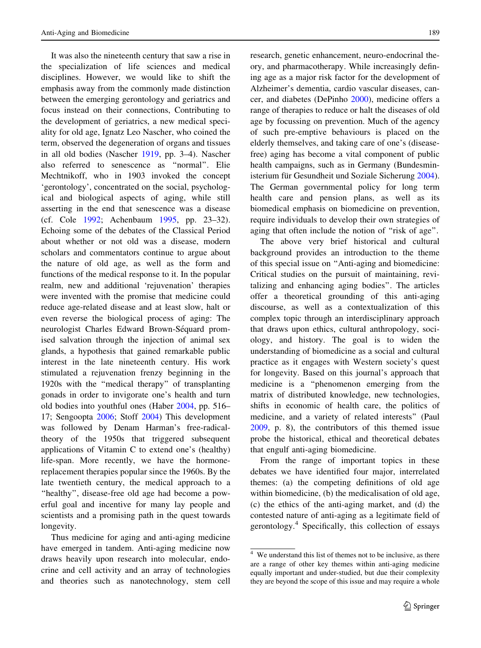It was also the nineteenth century that saw a rise in the specialization of life sciences and medical disciplines. However, we would like to shift the emphasis away from the commonly made distinction between the emerging gerontology and geriatrics and focus instead on their connections, Contributing to the development of geriatrics, a new medical speciality for old age, Ignatz Leo Nascher, who coined the term, observed the degeneration of organs and tissues in all old bodies (Nascher [1919,](#page-8-0) pp. 3–4). Nascher also referred to senescence as ''normal''. Elie Mechtnikoff, who in 1903 invoked the concept 'gerontology', concentrated on the social, psychological and biological aspects of aging, while still asserting in the end that senescence was a disease (cf. Cole [1992;](#page-7-0) Achenbaum [1995](#page-7-0), pp. 23–32). Echoing some of the debates of the Classical Period about whether or not old was a disease, modern scholars and commentators continue to argue about the nature of old age, as well as the form and functions of the medical response to it. In the popular realm, new and additional 'rejuvenation' therapies were invented with the promise that medicine could reduce age-related disease and at least slow, halt or even reverse the biological process of aging: The neurologist Charles Edward Brown-Séquard promised salvation through the injection of animal sex glands, a hypothesis that gained remarkable public interest in the late nineteenth century. His work stimulated a rejuvenation frenzy beginning in the 1920s with the ''medical therapy'' of transplanting gonads in order to invigorate one's health and turn old bodies into youthful ones (Haber [2004,](#page-8-0) pp. 516– 17; Sengoopta [2006;](#page-8-0) Stoff [2004](#page-8-0)) This development was followed by Denam Harman's free-radicaltheory of the 1950s that triggered subsequent applications of Vitamin C to extend one's (healthy) life-span. More recently, we have the hormonereplacement therapies popular since the 1960s. By the late twentieth century, the medical approach to a "healthy", disease-free old age had become a powerful goal and incentive for many lay people and scientists and a promising path in the quest towards longevity.

Thus medicine for aging and anti-aging medicine have emerged in tandem. Anti-aging medicine now draws heavily upon research into molecular, endocrine and cell activity and an array of technologies and theories such as nanotechnology, stem cell research, genetic enhancement, neuro-endocrinal theory, and pharmacotherapy. While increasingly defining age as a major risk factor for the development of Alzheimer's dementia, cardio vascular diseases, cancer, and diabetes (DePinho [2000](#page-7-0)), medicine offers a range of therapies to reduce or halt the diseases of old age by focussing on prevention. Much of the agency of such pre-emptive behaviours is placed on the elderly themselves, and taking care of one's (diseasefree) aging has become a vital component of public health campaigns, such as in Germany (Bundesmin-isterium für Gesundheit und Soziale Sicherung [2004](#page-7-0)). The German governmental policy for long term health care and pension plans, as well as its biomedical emphasis on biomedicine on prevention, require individuals to develop their own strategies of aging that often include the notion of ''risk of age''.

The above very brief historical and cultural background provides an introduction to the theme of this special issue on ''Anti-aging and biomedicine: Critical studies on the pursuit of maintaining, revitalizing and enhancing aging bodies''. The articles offer a theoretical grounding of this anti-aging discourse, as well as a contextualization of this complex topic through an interdisciplinary approach that draws upon ethics, cultural anthropology, sociology, and history. The goal is to widen the understanding of biomedicine as a social and cultural practice as it engages with Western society's quest for longevity. Based on this journal's approach that medicine is a ''phenomenon emerging from the matrix of distributed knowledge, new technologies, shifts in economic of health care, the politics of medicine, and a variety of related interests'' (Paul [2009,](#page-8-0) p. 8), the contributors of this themed issue probe the historical, ethical and theoretical debates that engulf anti-aging biomedicine.

From the range of important topics in these debates we have identified four major, interrelated themes: (a) the competing definitions of old age within biomedicine, (b) the medicalisation of old age, (c) the ethics of the anti-aging market, and (d) the contested nature of anti-aging as a legitimate field of gerontology.<sup>4</sup> Specifically, this collection of essays

 $4\overline{ }$  We understand this list of themes not to be inclusive, as there are a range of other key themes within anti-aging medicine equally important and under-studied, but due their complexity they are beyond the scope of this issue and may require a whole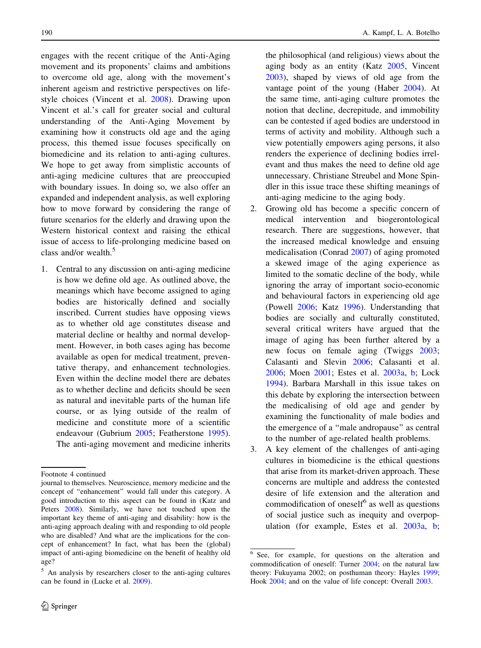engages with the recent critique of the Anti-Aging movement and its proponents' claims and ambitions to overcome old age, along with the movement's inherent ageism and restrictive perspectives on lifestyle choices (Vincent et al. [2008\)](#page-8-0). Drawing upon Vincent et al.'s call for greater social and cultural understanding of the Anti-Aging Movement by examining how it constructs old age and the aging process, this themed issue focuses specifically on biomedicine and its relation to anti-aging cultures. We hope to get away from simplistic accounts of anti-aging medicine cultures that are preoccupied with boundary issues. In doing so, we also offer an expanded and independent analysis, as well exploring how to move forward by considering the range of future scenarios for the elderly and drawing upon the Western historical context and raising the ethical issue of access to life-prolonging medicine based on class and/or wealth.<sup>5</sup>

1. Central to any discussion on anti-aging medicine is how we define old age. As outlined above, the meanings which have become assigned to aging bodies are historically defined and socially inscribed. Current studies have opposing views as to whether old age constitutes disease and material decline or healthy and normal development. However, in both cases aging has become available as open for medical treatment, preventative therapy, and enhancement technologies. Even within the decline model there are debates as to whether decline and deficits should be seen as natural and inevitable parts of the human life course, or as lying outside of the realm of medicine and constitute more of a scientific endeavour (Gubrium [2005;](#page-8-0) Featherstone [1995](#page-7-0)). The anti-aging movement and medicine inherits

the philosophical (and religious) views about the aging body as an entity (Katz [2005,](#page-8-0) Vincent [2003](#page-8-0)), shaped by views of old age from the vantage point of the young (Haber [2004](#page-8-0)). At the same time, anti-aging culture promotes the notion that decline, decrepitude, and immobility can be contested if aged bodies are understood in terms of activity and mobility. Although such a view potentially empowers aging persons, it also renders the experience of declining bodies irrelevant and thus makes the need to define old age unnecessary. Christiane Streubel and Mone Spindler in this issue trace these shifting meanings of anti-aging medicine to the aging body.

- 2. Growing old has become a specific concern of medical intervention and biogerontological research. There are suggestions, however, that the increased medical knowledge and ensuing medicalisation (Conrad [2007](#page-7-0)) of aging promoted a skewed image of the aging experience as limited to the somatic decline of the body, while ignoring the array of important socio-economic and behavioural factors in experiencing old age (Powell [2006](#page-8-0); Katz [1996](#page-8-0)). Understanding that bodies are socially and culturally constituted, several critical writers have argued that the image of aging has been further altered by a new focus on female aging (Twiggs [2003](#page-8-0); Calasanti and Slevin [2006](#page-7-0); Calasanti et al. [2006](#page-7-0); Moen [2001](#page-8-0); Estes et al. [2003a,](#page-7-0) [b](#page-7-0); Lock [1994](#page-8-0)). Barbara Marshall in this issue takes on this debate by exploring the intersection between the medicalising of old age and gender by examining the functionality of male bodies and the emergence of a ''male andropause'' as central to the number of age-related health problems.
- 3. A key element of the challenges of anti-aging cultures in biomedicine is the ethical questions that arise from its market-driven approach. These concerns are multiple and address the contested desire of life extension and the alteration and commodification of oneself $<sup>6</sup>$  as well as questions</sup> of social justice such as inequity and overpop-ulation (for example, Estes et al. [2003a](#page-7-0), [b](#page-7-0);

Footnote 4 continued

journal to themselves. Neuroscience, memory medicine and the concept of ''enhancement'' would fall under this category. A good introduction to this aspect can be found in (Katz and Peters [2008](#page-8-0)). Similarly, we have not touched upon the important key theme of anti-aging and disability: how is the anti-aging approach dealing with and responding to old people who are disabled? And what are the implications for the concept of enhancement? In fact, what has been the (global) impact of anti-aging biomedicine on the benefit of healthy old age?

<sup>5</sup> An analysis by researchers closer to the anti-aging cultures can be found in (Lucke et al. [2009](#page-8-0)).

 $\overline{6}$  See, for example, for questions on the alteration and commodification of oneself: Turner [2004;](#page-8-0) on the natural law theory: Fukuyama 2002; on posthuman theory: Hayles [1999;](#page-8-0) Hook [2004](#page-8-0); and on the value of life concept: Overall [2003.](#page-8-0)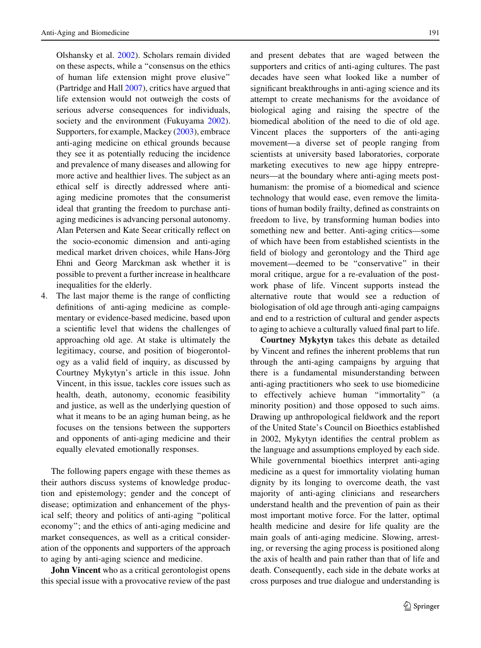Olshansky et al. [2002\)](#page-8-0). Scholars remain divided on these aspects, while a ''consensus on the ethics of human life extension might prove elusive'' (Partridge and Hall [2007](#page-8-0)), critics have argued that life extension would not outweigh the costs of serious adverse consequences for individuals, society and the environment (Fukuyama [2002](#page-8-0)). Supporters, for example, Mackey ([2003\)](#page-8-0), embrace anti-aging medicine on ethical grounds because they see it as potentially reducing the incidence and prevalence of many diseases and allowing for more active and healthier lives. The subject as an ethical self is directly addressed where antiaging medicine promotes that the consumerist ideal that granting the freedom to purchase antiaging medicines is advancing personal autonomy. Alan Petersen and Kate Seear critically reflect on the socio-economic dimension and anti-aging medical market driven choices, while Hans-Jörg Ehni and Georg Marckman ask whether it is possible to prevent a further increase in healthcare inequalities for the elderly.

4. The last major theme is the range of conflicting definitions of anti-aging medicine as complementary or evidence-based medicine, based upon a scientific level that widens the challenges of approaching old age. At stake is ultimately the legitimacy, course, and position of biogerontology as a valid field of inquiry, as discussed by Courtney Mykytyn's article in this issue. John Vincent, in this issue, tackles core issues such as health, death, autonomy, economic feasibility and justice, as well as the underlying question of what it means to be an aging human being, as he focuses on the tensions between the supporters and opponents of anti-aging medicine and their equally elevated emotionally responses.

The following papers engage with these themes as their authors discuss systems of knowledge production and epistemology; gender and the concept of disease; optimization and enhancement of the physical self; theory and politics of anti-aging ''political economy''; and the ethics of anti-aging medicine and market consequences, as well as a critical consideration of the opponents and supporters of the approach to aging by anti-aging science and medicine.

John Vincent who as a critical gerontologist opens this special issue with a provocative review of the past and present debates that are waged between the supporters and critics of anti-aging cultures. The past decades have seen what looked like a number of significant breakthroughs in anti-aging science and its attempt to create mechanisms for the avoidance of biological aging and raising the spectre of the biomedical abolition of the need to die of old age. Vincent places the supporters of the anti-aging movement—a diverse set of people ranging from scientists at university based laboratories, corporate marketing executives to new age hippy entrepreneurs—at the boundary where anti-aging meets posthumanism: the promise of a biomedical and science technology that would ease, even remove the limitations of human bodily frailty, defined as constraints on freedom to live, by transforming human bodies into something new and better. Anti-aging critics—some of which have been from established scientists in the field of biology and gerontology and the Third age movement—deemed to be ''conservative'' in their moral critique, argue for a re-evaluation of the postwork phase of life. Vincent supports instead the alternative route that would see a reduction of biologisation of old age through anti-aging campaigns and end to a restriction of cultural and gender aspects to aging to achieve a culturally valued final part to life.

Courtney Mykytyn takes this debate as detailed by Vincent and refines the inherent problems that run through the anti-aging campaigns by arguing that there is a fundamental misunderstanding between anti-aging practitioners who seek to use biomedicine to effectively achieve human ''immortality'' (a minority position) and those opposed to such aims. Drawing up anthropological fieldwork and the report of the United State's Council on Bioethics established in 2002, Mykytyn identifies the central problem as the language and assumptions employed by each side. While governmental bioethics interpret anti-aging medicine as a quest for immortality violating human dignity by its longing to overcome death, the vast majority of anti-aging clinicians and researchers understand health and the prevention of pain as their most important motive force. For the latter, optimal health medicine and desire for life quality are the main goals of anti-aging medicine. Slowing, arresting, or reversing the aging process is positioned along the axis of health and pain rather than that of life and death. Consequently, each side in the debate works at cross purposes and true dialogue and understanding is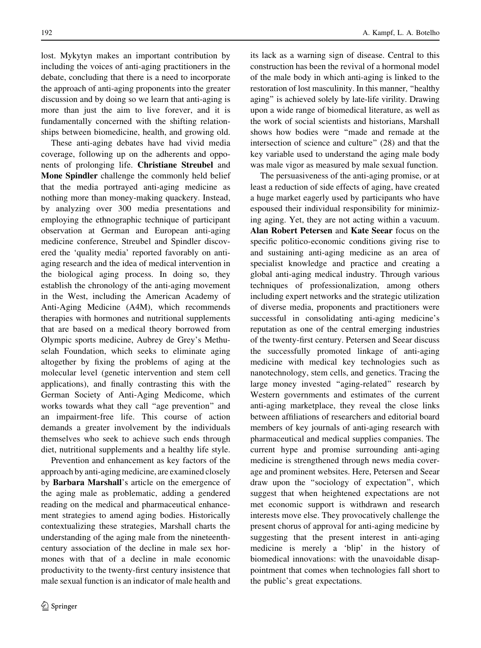lost. Mykytyn makes an important contribution by including the voices of anti-aging practitioners in the debate, concluding that there is a need to incorporate the approach of anti-aging proponents into the greater discussion and by doing so we learn that anti-aging is more than just the aim to live forever, and it is fundamentally concerned with the shifting relationships between biomedicine, health, and growing old.

These anti-aging debates have had vivid media coverage, following up on the adherents and opponents of prolonging life. Christiane Streubel and Mone Spindler challenge the commonly held belief that the media portrayed anti-aging medicine as nothing more than money-making quackery. Instead, by analyzing over 300 media presentations and employing the ethnographic technique of participant observation at German and European anti-aging medicine conference, Streubel and Spindler discovered the 'quality media' reported favorably on antiaging research and the idea of medical intervention in the biological aging process. In doing so, they establish the chronology of the anti-aging movement in the West, including the American Academy of Anti-Aging Medicine (A4M), which recommends therapies with hormones and nutritional supplements that are based on a medical theory borrowed from Olympic sports medicine, Aubrey de Grey's Methuselah Foundation, which seeks to eliminate aging altogether by fixing the problems of aging at the molecular level (genetic intervention and stem cell applications), and finally contrasting this with the German Society of Anti-Aging Medicome, which works towards what they call ''age prevention'' and an impairment-free life. This course of action demands a greater involvement by the individuals themselves who seek to achieve such ends through diet, nutritional supplements and a healthy life style.

Prevention and enhancement as key factors of the approach by anti-aging medicine, are examined closely by Barbara Marshall's article on the emergence of the aging male as problematic, adding a gendered reading on the medical and pharmaceutical enhancement strategies to amend aging bodies. Historically contextualizing these strategies, Marshall charts the understanding of the aging male from the nineteenthcentury association of the decline in male sex hormones with that of a decline in male economic productivity to the twenty-first century insistence that male sexual function is an indicator of male health and

its lack as a warning sign of disease. Central to this construction has been the revival of a hormonal model of the male body in which anti-aging is linked to the restoration of lost masculinity. In this manner, ''healthy aging'' is achieved solely by late-life virility. Drawing upon a wide range of biomedical literature, as well as the work of social scientists and historians, Marshall shows how bodies were ''made and remade at the intersection of science and culture'' (28) and that the key variable used to understand the aging male body was male vigor as measured by male sexual function.

The persuasiveness of the anti-aging promise, or at least a reduction of side effects of aging, have created a huge market eagerly used by participants who have espoused their individual responsibility for minimizing aging. Yet, they are not acting within a vacuum. Alan Robert Petersen and Kate Seear focus on the specific politico-economic conditions giving rise to and sustaining anti-aging medicine as an area of specialist knowledge and practice and creating a global anti-aging medical industry. Through various techniques of professionalization, among others including expert networks and the strategic utilization of diverse media, proponents and practitioners were successful in consolidating anti-aging medicine's reputation as one of the central emerging industries of the twenty-first century. Petersen and Seear discuss the successfully promoted linkage of anti-aging medicine with medical key technologies such as nanotechnology, stem cells, and genetics. Tracing the large money invested "aging-related" research by Western governments and estimates of the current anti-aging marketplace, they reveal the close links between affiliations of researchers and editorial board members of key journals of anti-aging research with pharmaceutical and medical supplies companies. The current hype and promise surrounding anti-aging medicine is strengthened through news media coverage and prominent websites. Here, Petersen and Seear draw upon the ''sociology of expectation'', which suggest that when heightened expectations are not met economic support is withdrawn and research interests move else. They provocatively challenge the present chorus of approval for anti-aging medicine by suggesting that the present interest in anti-aging medicine is merely a 'blip' in the history of biomedical innovations: with the unavoidable disappointment that comes when technologies fall short to the public's great expectations.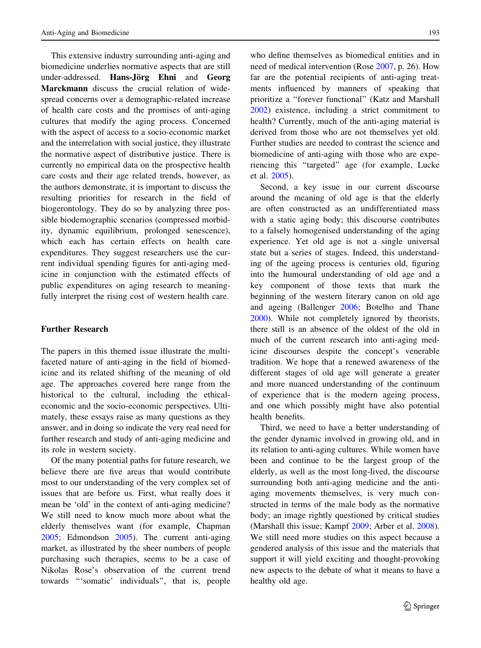This extensive industry surrounding anti-aging and biomedicine underlies normative aspects that are still under-addressed. Hans-Jörg Ehni and Georg Marckmann discuss the crucial relation of widespread concerns over a demographic-related increase of health care costs and the promises of anti-aging cultures that modify the aging process. Concerned with the aspect of access to a socio-economic market and the interrelation with social justice, they illustrate the normative aspect of distributive justice. There is currently no empirical data on the prospective health care costs and their age related trends, however, as the authors demonstrate, it is important to discuss the resulting priorities for research in the field of biogerontology. They do so by analyzing three possible biodemographic scenarios (compressed morbidity, dynamic equilibrium, prolonged senescence), which each has certain effects on health care expenditures. They suggest researchers use the current individual spending figures for anti-aging medicine in conjunction with the estimated effects of public expenditures on aging research to meaningfully interpret the rising cost of western health care.

## Further Research

The papers in this themed issue illustrate the multifaceted nature of anti-aging in the field of biomedicine and its related shifting of the meaning of old age. The approaches covered here range from the historical to the cultural, including the ethicaleconomic and the socio-economic perspectives. Ultimately, these essays raise as many questions as they answer, and in doing so indicate the very real need for further research and study of anti-aging medicine and its role in western society.

Of the many potential paths for future research, we believe there are five areas that would contribute most to our understanding of the very complex set of issues that are before us. First, what really does it mean be 'old' in the context of anti-aging medicine? We still need to know much more about what the elderly themselves want (for example, Chapman [2005;](#page-7-0) Edmondson [2005](#page-7-0)). The current anti-aging market, as illustrated by the sheer numbers of people purchasing such therapies, seems to be a case of Nikolas Rose's observation of the current trend towards '''somatic' individuals'', that is, people

who define themselves as biomedical entities and in need of medical intervention (Rose [2007,](#page-8-0) p. 26). How far are the potential recipients of anti-aging treatments influenced by manners of speaking that prioritize a ''forever functional'' (Katz and Marshall [2002\)](#page-8-0) existence, including a strict commitment to health? Currently, much of the anti-aging material is derived from those who are not themselves yet old. Further studies are needed to contrast the science and biomedicine of anti-aging with those who are experiencing this ''targeted'' age (for example, Lucke et al. [2005\)](#page-8-0).

Second, a key issue in our current discourse around the meaning of old age is that the elderly are often constructed as an undifferentiated mass with a static aging body; this discourse contributes to a falsely homogenised understanding of the aging experience. Yet old age is not a single universal state but a series of stages. Indeed, this understanding of the ageing process is centuries old, figuring into the humoural understanding of old age and a key component of those texts that mark the beginning of the western literary canon on old age and ageing (Ballenger [2006](#page-7-0); Botelho and Thane [2000\)](#page-7-0). While not completely ignored by theorists, there still is an absence of the oldest of the old in much of the current research into anti-aging medicine discourses despite the concept's venerable tradition. We hope that a renewed awareness of the different stages of old age will generate a greater and more nuanced understanding of the continuum of experience that is the modern ageing process, and one which possibly might have also potential health benefits.

Third, we need to have a better understanding of the gender dynamic involved in growing old, and in its relation to anti-aging cultures. While women have been and continue to be the largest group of the elderly, as well as the most long-lived, the discourse surrounding both anti-aging medicine and the antiaging movements themselves, is very much constructed in terms of the male body as the normative body; an image rightly questioned by critical studies (Marshall this issue; Kampf [2009](#page-8-0); Arber et al. [2008](#page-7-0)). We still need more studies on this aspect because a gendered analysis of this issue and the materials that support it will yield exciting and thought-provoking new aspects to the debate of what it means to have a healthy old age.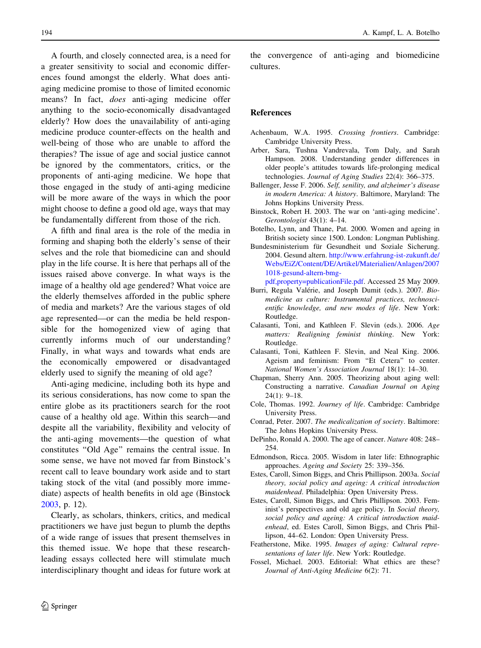<span id="page-7-0"></span>A fourth, and closely connected area, is a need for a greater sensitivity to social and economic differences found amongst the elderly. What does antiaging medicine promise to those of limited economic means? In fact, does anti-aging medicine offer anything to the socio-economically disadvantaged elderly? How does the unavailability of anti-aging medicine produce counter-effects on the health and well-being of those who are unable to afford the therapies? The issue of age and social justice cannot be ignored by the commentators, critics, or the proponents of anti-aging medicine. We hope that those engaged in the study of anti-aging medicine will be more aware of the ways in which the poor might choose to define a good old age, ways that may

be fundamentally different from those of the rich. A fifth and final area is the role of the media in forming and shaping both the elderly's sense of their selves and the role that biomedicine can and should play in the life course. It is here that perhaps all of the issues raised above converge. In what ways is the image of a healthy old age gendered? What voice are the elderly themselves afforded in the public sphere of media and markets? Are the various stages of old age represented—or can the media be held responsible for the homogenized view of aging that currently informs much of our understanding? Finally, in what ways and towards what ends are the economically empowered or disadvantaged elderly used to signify the meaning of old age?

Anti-aging medicine, including both its hype and its serious considerations, has now come to span the entire globe as its practitioners search for the root cause of a healthy old age. Within this search—and despite all the variability, flexibility and velocity of the anti-aging movements—the question of what constitutes ''Old Age'' remains the central issue. In some sense, we have not moved far from Binstock's recent call to leave boundary work aside and to start taking stock of the vital (and possibly more immediate) aspects of health benefits in old age (Binstock 2003, p. 12).

Clearly, as scholars, thinkers, critics, and medical practitioners we have just begun to plumb the depths of a wide range of issues that present themselves in this themed issue. We hope that these researchleading essays collected here will stimulate much interdisciplinary thought and ideas for future work at the convergence of anti-aging and biomedicine cultures.

## References

- Achenbaum, W.A. 1995. Crossing frontiers. Cambridge: Cambridge University Press.
- Arber, Sara, Tushna Vandrevala, Tom Daly, and Sarah Hampson. 2008. Understanding gender differences in older people's attitudes towards life-prolonging medical technologies. Journal of Aging Studies 22(4): 366–375.
- Ballenger, Jesse F. 2006. Self, senility, and alzheimer's disease in modern America: A history. Baltimore, Maryland: The Johns Hopkins University Press.
- Binstock, Robert H. 2003. The war on 'anti-aging medicine'. Gerontologist 43(1): 4–14.
- Botelho, Lynn, and Thane, Pat. 2000. Women and ageing in British society since 1500. London: Longman Publishing.
- Bundesministerium für Gesundheit und Soziale Sicherung. 2004. Gesund altern. [http://www.erfahrung-ist-zukunft.de/](http://www.erfahrung-ist-zukunft.de/Webs/EiZ/Content/DE/Artikel/Materialien/Anlagen/20071018-gesund-altern-bmg-pdf,property=publicationFile.pdf) [Webs/EiZ/Content/DE/Artikel/Materialien/Anlagen/2007](http://www.erfahrung-ist-zukunft.de/Webs/EiZ/Content/DE/Artikel/Materialien/Anlagen/20071018-gesund-altern-bmg-pdf,property=publicationFile.pdf) [1018-gesund-altern-bmg-](http://www.erfahrung-ist-zukunft.de/Webs/EiZ/Content/DE/Artikel/Materialien/Anlagen/20071018-gesund-altern-bmg-pdf,property=publicationFile.pdf)
- [pdf,property=publicationFile.pdf.](http://www.erfahrung-ist-zukunft.de/Webs/EiZ/Content/DE/Artikel/Materialien/Anlagen/20071018-gesund-altern-bmg-pdf,property=publicationFile.pdf) Accessed 25 May 2009.
- Burri, Regula Valérie, and Joseph Dumit (eds.). 2007. Biomedicine as culture: Instrumental practices, technoscientific knowledge, and new modes of life. New York: Routledge.
- Calasanti, Toni, and Kathleen F. Slevin (eds.). 2006. Age matters: Realigning feminist thinking. New York: Routledge.
- Calasanti, Toni, Kathleen F. Slevin, and Neal King. 2006. Ageism and feminism: From "Et Cetera" to center. National Women's Association Journal 18(1): 14–30.
- Chapman, Sherry Ann. 2005. Theorizing about aging well: Constructing a narrative. Canadian Journal on Aging 24(1): 9–18.
- Cole, Thomas. 1992. Journey of life. Cambridge: Cambridge University Press.
- Conrad, Peter. 2007. The medicalization of society. Baltimore: The Johns Hopkins University Press.
- DePinho, Ronald A. 2000. The age of cancer. Nature 408: 248– 254.
- Edmondson, Ricca. 2005. Wisdom in later life: Ethnographic approaches. Ageing and Society 25: 339–356.
- Estes, Caroll, Simon Biggs, and Chris Phillipson. 2003a. Social theory, social policy and ageing: A critical introduction maidenhead. Philadelphia: Open University Press.
- Estes, Caroll, Simon Biggs, and Chris Phillipson. 2003. Feminist's perspectives and old age policy. In Social theory, social policy and ageing: A critical introduction maidenhead, ed. Estes Caroll, Simon Biggs, and Chris Phillipson, 44–62. London: Open University Press.
- Featherstone, Mike. 1995. Images of aging: Cultural representations of later life. New York: Routledge.
- Fossel, Michael. 2003. Editorial: What ethics are these? Journal of Anti-Aging Medicine 6(2): 71.